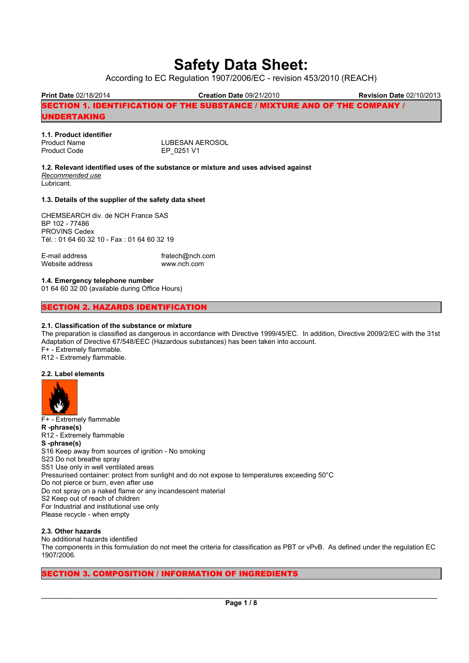# Safety Data Sheet:

According to EC Regulation 1907/2006/EC - revision 453/2010 (REACH)

Print Date 02/18/2014 Creation Date 09/21/2010 Revision Date 02/10/2013 SECTION 1. IDENTIFICATION OF THE SUBSTANCE / MIXTURE AND OF THE COMPANY / UNDERTAKING Ξ

| 1.1. Product identifier |                 |
|-------------------------|-----------------|
| <b>Product Name</b>     | LUBESAN AEROSOL |
| <b>Product Code</b>     | EP 0251 V1      |

1.2. Relevant identified uses of the substance or mixture and uses advised against Recommended use Lubricant.

## 1.3. Details of the supplier of the safety data sheet

CHEMSEARCH div. de NCH France SAS BP 102 - 77486 PROVINS Cedex Tél. : 01 64 60 32 10 - Fax : 01 64 60 32 19

E-mail address fratech@nch.com Website address www.nch.com

## 1.4. Emergency telephone number

01 64 60 32 00 (available during Office Hours)

# SECTION 2. HAZARDS IDENTIFICATION

## 2.1. Classification of the substance or mixture

The preparation is classified as dangerous in accordance with Directive 1999/45/EC. In addition, Directive 2009/2/EC with the 31st Adaptation of Directive 67/548/EEC (Hazardous substances) has been taken into account. F+ - Extremely flammable.

R12 - Extremely flammable.

## 2.2. Label elements



F+ - Extremely flammable R -phrase(s) R12 - Extremely flammable S -phrase(s) S16 Keep away from sources of ignition - No smoking S23 Do not breathe spray S51 Use only in well ventilated areas Pressurised container: protect from sunlight and do not expose to temperatures exceeding 50°C Do not pierce or burn, even after use Do not spray on a naked flame or any incandescent material S2 Keep out of reach of children For Industrial and institutional use only Please recycle - when empty

## 2.3. Other hazards

No additional hazards identified The components in this formulation do not meet the criteria for classification as PBT or vPvB. As defined under the regulation EC 1907/2006.

# SECTION 3. COMPOSITION / INFORMATION OF INGREDIENTS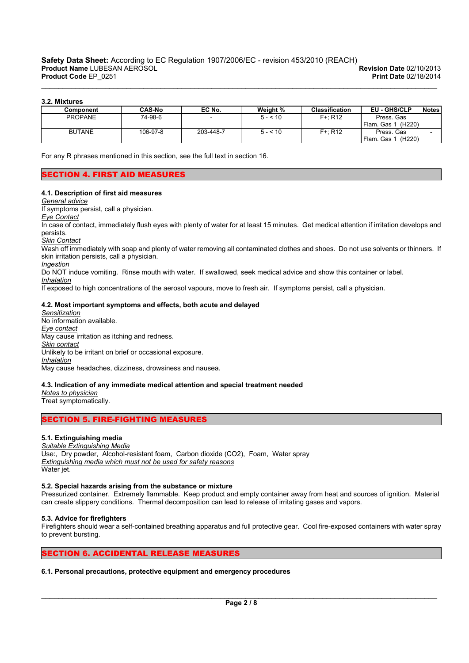## 3.2. Mixtures

| Component      | <b>CAS-No</b> | EC No.                   | Weight % | <b>Classification</b> | EU - GHS/CLP                     | <b>Notes</b> |
|----------------|---------------|--------------------------|----------|-----------------------|----------------------------------|--------------|
| <b>PROPANE</b> | 74-98-6       | $\overline{\phantom{0}}$ | $5 - 10$ | $F + R12$             | Press, Gas                       |              |
|                |               |                          |          |                       | Flam, Gas<br>(H <sub>220</sub> ) |              |
| <b>BUTANE</b>  | 106-97-8      | 203-448-7                | $5 - 10$ | $F + R12$             | Press, Gas                       |              |
|                |               |                          |          |                       | Flam. Gas 1<br>(H220)            |              |

\_\_\_\_\_\_\_\_\_\_\_\_\_\_\_\_\_\_\_\_\_\_\_\_\_\_\_\_\_\_\_\_\_\_\_\_\_\_\_\_\_\_\_\_\_\_\_\_\_\_\_\_\_\_\_\_\_\_\_\_\_\_\_\_\_\_\_\_\_\_\_\_\_\_\_\_\_\_\_\_\_\_\_\_\_\_\_\_\_\_\_\_\_

For any R phrases mentioned in this section, see the full text in section 16.

# SECTION 4. FIRST AID MEASURES

## 4.1. Description of first aid measures

General advice

If symptoms persist, call a physician.

Eye Contact

Ξ

In case of contact, immediately flush eyes with plenty of water for at least 15 minutes. Get medical attention if irritation develops and persists.

Skin Contact

Wash off immediately with soap and plenty of water removing all contaminated clothes and shoes. Do not use solvents or thinners. If skin irritation persists, call a physician.

#### Ingestion

Do NOT induce vomiting. Rinse mouth with water. If swallowed, seek medical advice and show this container or label.

**Inhalation** 

If exposed to high concentrations of the aerosol vapours, move to fresh air. If symptoms persist, call a physician.

## 4.2. Most important symptoms and effects, both acute and delayed

**Sensitization** No information available. Eye contact May cause irritation as itching and redness. Skin contact Unlikely to be irritant on brief or occasional exposure. Inhalation May cause headaches, dizziness, drowsiness and nausea.

## 4.3. Indication of any immediate medical attention and special treatment needed

Notes to physician Treat symptomatically.

# SECTION 5. FIRE-FIGHTING MEASURES

## 5.1. Extinguishing media

Suitable Extinguishing Media Use:, Dry powder, Alcohol-resistant foam, Carbon dioxide (CO2), Foam, Water spray Extinguishing media which must not be used for safety reasons Water jet.

## 5.2. Special hazards arising from the substance or mixture

Pressurized container. Extremely flammable. Keep product and empty container away from heat and sources of ignition. Material can create slippery conditions. Thermal decomposition can lead to release of irritating gases and vapors.

## 5.3. Advice for firefighters

Firefighters should wear a self-contained breathing apparatus and full protective gear. Cool fire-exposed containers with water spray to prevent bursting.

#### SECTION 6. ACCIDENTAL RELEASE MEASURES Ξ

## 6.1. Personal precautions, protective equipment and emergency procedures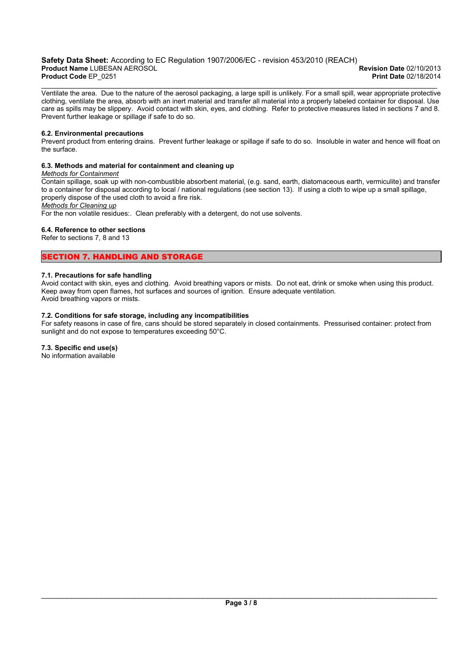## Safety Data Sheet: According to EC Regulation 1907/2006/EC - revision 453/2010 (REACH)<br>Product Name LUBESAN AEROSOL<br>Revision Date 02/10/2013 Product Name LUBESAN AEROSOL **Contract Access 2012 12:00 Product Name LUBESAN AEROSOL** Revision Date 02/10/2013<br>Product Code FP 0251 Product Code EP\_0251

\_\_\_\_\_\_\_\_\_\_\_\_\_\_\_\_\_\_\_\_\_\_\_\_\_\_\_\_\_\_\_\_\_\_\_\_\_\_\_\_\_\_\_\_\_\_\_\_\_\_\_\_\_\_\_\_\_\_\_\_\_\_\_\_\_\_\_\_\_\_\_\_\_\_\_\_\_\_\_\_\_\_\_\_\_\_\_\_\_\_\_\_\_ Ventilate the area. Due to the nature of the aerosol packaging, a large spill is unlikely. For a small spill, wear appropriate protective clothing, ventilate the area, absorb with an inert material and transfer all material into a properly labeled container for disposal. Use care as spills may be slippery. Avoid contact with skin, eyes, and clothing. Refer to protective measures listed in sections 7 and 8. Prevent further leakage or spillage if safe to do so.

## 6.2. Environmental precautions

Prevent product from entering drains. Prevent further leakage or spillage if safe to do so. Insoluble in water and hence will float on the surface.

## 6.3. Methods and material for containment and cleaning up

## Methods for Containment

Contain spillage, soak up with non-combustible absorbent material, (e.g. sand, earth, diatomaceous earth, vermiculite) and transfer to a container for disposal according to local / national regulations (see section 13). If using a cloth to wipe up a small spillage, properly dispose of the used cloth to avoid a fire risk.

Methods for Cleaning up

Ξ

For the non volatile residues:. Clean preferably with a detergent, do not use solvents.

# 6.4. Reference to other sections

Refer to sections 7, 8 and 13

# SECTION 7. HANDLING AND STORAGE

## 7.1. Precautions for safe handling

Avoid contact with skin, eyes and clothing. Avoid breathing vapors or mists. Do not eat, drink or smoke when using this product. Keep away from open flames, hot surfaces and sources of ignition. Ensure adequate ventilation. Avoid breathing vapors or mists.

## 7.2. Conditions for safe storage, including any incompatibilities

For safety reasons in case of fire, cans should be stored separately in closed containments. Pressurised container: protect from sunlight and do not expose to temperatures exceeding 50°C.

# 7.3. Specific end use(s)

No information available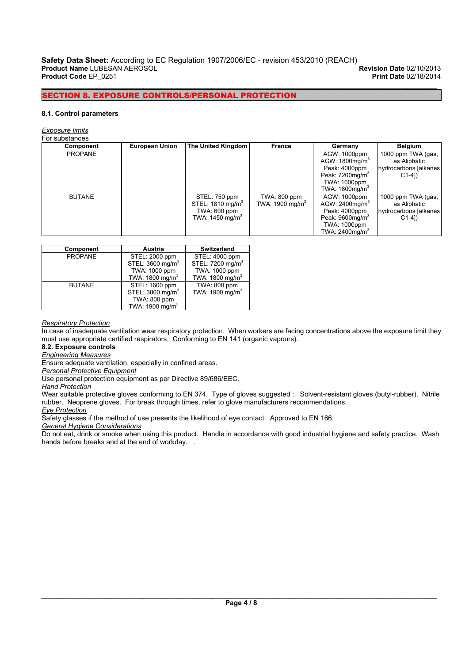\_\_\_\_\_\_\_\_\_\_\_\_\_\_\_\_\_\_\_\_\_\_\_\_\_\_\_\_\_\_\_\_\_\_\_\_\_\_\_\_\_\_\_\_\_\_\_\_\_\_\_\_\_\_\_\_\_\_\_\_\_\_\_\_\_\_\_\_\_\_\_\_\_\_\_\_\_\_\_\_\_\_\_\_\_\_\_\_\_\_\_\_\_

# SECTION 8. EXPOSURE CONTROLS/PERSONAL PROTECTION

## 8.1. Control parameters

#### Exposure limits

Ξ

#### For substances

| Component      | <b>European Union</b> | The United Kingdom                                                                          | France                                      | Germany                                                                                                                                               | <b>Belgium</b>                                                          |
|----------------|-----------------------|---------------------------------------------------------------------------------------------|---------------------------------------------|-------------------------------------------------------------------------------------------------------------------------------------------------------|-------------------------------------------------------------------------|
| <b>PROPANE</b> |                       |                                                                                             |                                             | AGW: 1000ppm<br>AGW: 1800mg/m <sup>3</sup><br>Peak: 4000ppm<br>Peak: $7200$ mg/m <sup>3</sup><br><b>TWA: 1000ppm</b><br>TWA: $1800$ mg/m <sup>3</sup> | 1000 ppm TWA (gas,<br>as Aliphatic<br>hydrocarbons [alkanes]<br>$C1-4]$ |
| <b>BUTANE</b>  |                       | STEL: 750 ppm<br>STEL: 1810 mg/m <sup>3</sup><br>TWA: 600 ppm<br>TWA: $1450 \text{ mg/m}^3$ | TWA: 800 ppm<br>TWA: 1900 mg/m <sup>3</sup> | AGW: 1000ppm<br>AGW: 2400mg/m <sup>3</sup><br>Peak: 4000ppm<br>Peak: 9600mg/m <sup>3</sup><br>TWA: 1000ppm<br>TWA: 2400mg/m <sup>3</sup>              | 1000 ppm TWA (gas,<br>as Aliphatic<br>hydrocarbons [alkanes]<br>$C1-41$ |

| Component      | Austria                      | <b>Switzerland</b>           |
|----------------|------------------------------|------------------------------|
| <b>PROPANE</b> | STEL: 2000 ppm               | STEL: 4000 ppm               |
|                | STEL: 3600 mg/m <sup>3</sup> | STEL: 7200 mg/m <sup>3</sup> |
|                | TWA: 1000 ppm                | TWA: 1000 ppm                |
|                | TWA: 1800 mg/m <sup>3</sup>  | TWA: 1800 mg/m <sup>3</sup>  |
| <b>BUTANE</b>  | STEL: 1600 ppm               | TWA: 800 ppm                 |
|                | STEL: 3800 mg/m <sup>3</sup> | TWA: 1900 mg/m <sup>3</sup>  |
|                | TWA: 800 ppm                 |                              |
|                | TWA: 1900 mg/m <sup>3</sup>  |                              |

#### Respiratory Protection

In case of inadequate ventilation wear respiratory protection. When workers are facing concentrations above the exposure limit they must use appropriate certified respirators. Conforming to EN 141 (organic vapours).

# 8.2. Exposure controls

Engineering Measures

Ensure adequate ventilation, especially in confined areas.

**Personal Protective Equipment** 

Use personal protection equipment as per Directive 89/686/EEC.

Hand Protection

Wear suitable protective gloves conforming to EN 374. Type of gloves suggested :. Solvent-resistant gloves (butyl-rubber). Nitrile rubber. Neoprene gloves. For break through times, refer to glove manufacturers recommendations.

Eye Protection

Safety glasses if the method of use presents the likelihood of eye contact. Approved to EN 166.

General Hygiene Considerations

Do not eat, drink or smoke when using this product. Handle in accordance with good industrial hygiene and safety practice. Wash hands before breaks and at the end of workday. .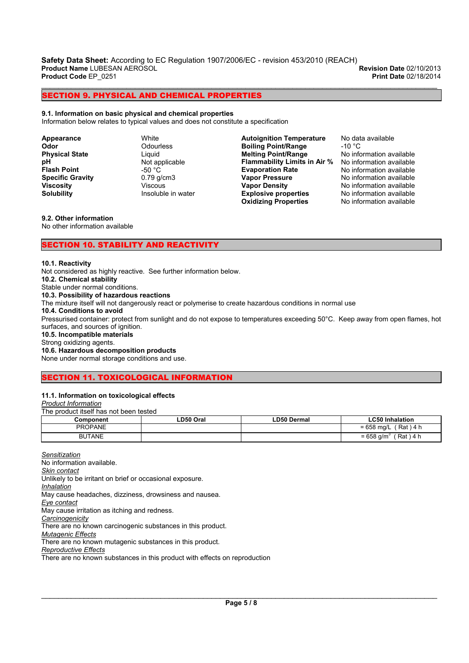Safety Data Sheet: According to EC Regulation 1907/2006/EC - revision 453/2010 (REACH)<br>Product Name LUBESAN AEROSOL Product Name LUBESAN AEROSOL **Product Name LUBESAN AEROSOL** Revision Date 02/10/2013<br>Product Code EP 0251 Product Code EP 02/18/2014 Product Code EP\_0251

\_\_\_\_\_\_\_\_\_\_\_\_\_\_\_\_\_\_\_\_\_\_\_\_\_\_\_\_\_\_\_\_\_\_\_\_\_\_\_\_\_\_\_\_\_\_\_\_\_\_\_\_\_\_\_\_\_\_\_\_\_\_\_\_\_\_\_\_\_\_\_\_\_\_\_\_\_\_\_\_\_\_\_\_\_\_\_\_\_\_\_\_\_

SECTION 9. PHYSICAL AND CHEMICAL PROPERTIES

#### 9.1. Information on basic physical and chemical properties

Information below relates to typical values and does not constitute a specification

Appearance White Odor Odourless **Physical State** Liquid<br> **DH** Not are Flash Point -50 °C<br>
Specific Gravity -50 °C **Specific Gravity** 0.79 g/c<br> **Viscosity** Viscous Viscosity

Not applicable<br>-50 °C Solubility **Insoluble in water**  Autoignition Temperature No data available Boiling Point/Range -10 °C Melting Point/Range No information available Flammability Limits in Air % No information available<br>Evaporation Rate Mo information available **Evaporation Rate** No information available<br> **Vapor Pressure** No information available Vapor Pressure **No information available**<br>
Vapor Density **No information available Explosive properties** No information available<br> **Oxidizing Properties** No information available **Oxidizing Properties** 

No information available<br>No information available

## 9.2. Other information

No other information available

## SECTION 10. STABILITY AND REACTIVITY

#### 10.1. Reactivity

Ξ

Not considered as highly reactive. See further information below. 10.2. Chemical stability

Stable under normal conditions.

10.3. Possibility of hazardous reactions

The mixture itself will not dangerously react or polymerise to create hazardous conditions in normal use

#### 10.4. Conditions to avoid

Pressurised container: protect from sunlight and do not expose to temperatures exceeding 50°C. Keep away from open flames, hot surfaces, and sources of ignition.

#### 10.5. Incompatible materials

Strong oxidizing agents.

## 10.6. Hazardous decomposition products

None under normal storage conditions and use.

#### SECTION 11. TOXICOLOGICAL INFORMATION Ξ

## 11.1. Information on toxicological effects

Product Information The product itself has not been tested

| THE DIGGUL RISER HOLDEDITIES LOT |             |                                   |
|----------------------------------|-------------|-----------------------------------|
| ∟D50 Oral                        | LD50 Dermal | LC50 Inhalation                   |
|                                  |             | $= 658$ mg/L (Rat) 4 h            |
|                                  |             | = 658 g/m $^{\circ}$<br>(Rat) 4 h |
|                                  |             |                                   |

**Sensitization** No information available. Skin contact Unlikely to be irritant on brief or occasional exposure. Inhalation May cause headaches, dizziness, drowsiness and nausea. Eye contact May cause irritation as itching and redness. **Carcinogenicity** There are no known carcinogenic substances in this product. **Mutagenic Effects** There are no known mutagenic substances in this product. Reproductive Effects There are no known substances in this product with effects on reproduction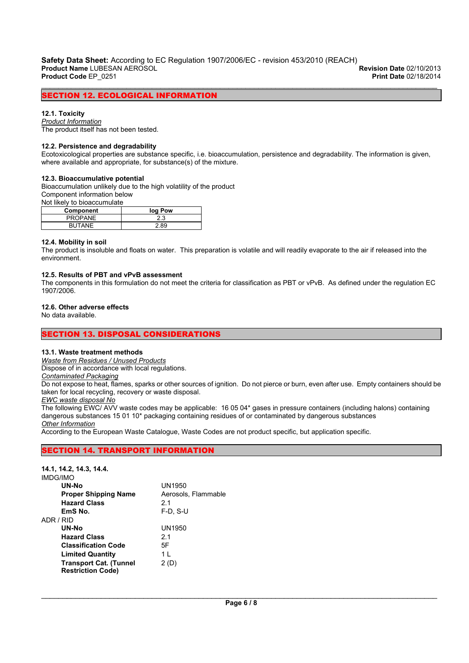\_\_\_\_\_\_\_\_\_\_\_\_\_\_\_\_\_\_\_\_\_\_\_\_\_\_\_\_\_\_\_\_\_\_\_\_\_\_\_\_\_\_\_\_\_\_\_\_\_\_\_\_\_\_\_\_\_\_\_\_\_\_\_\_\_\_\_\_\_\_\_\_\_\_\_\_\_\_\_\_\_\_\_\_\_\_\_\_\_\_\_\_\_

SECTION 12. ECOLOGICAL INFORMATION

## 12.1. Toxicity

Ξ

Product Information The product itself has not been tested.

# 12.2. Persistence and degradability

Ecotoxicological properties are substance specific, i.e. bioaccumulation, persistence and degradability. The information is given, where available and appropriate, for substance(s) of the mixture.

## 12.3. Bioaccumulative potential

Bioaccumulation unlikely due to the high volatility of the product Component information below Not likely to bioaccumulate

| .<br>Component | log Pow |
|----------------|---------|
|                |         |
| <b>PROPANE</b> | 2.3     |
| <b>BUTANE</b>  | 2.89    |

## 12.4. Mobility in soil

The product is insoluble and floats on water. This preparation is volatile and will readily evaporate to the air if released into the environment.

## 12.5. Results of PBT and vPvB assessment

The components in this formulation do not meet the criteria for classification as PBT or vPvB. As defined under the regulation EC 1907/2006.

## 12.6. Other adverse effects

No data available.

#### SECTION 13. DISPOSAL CONSIDERATIONS Ξ

## 13.1. Waste treatment methods

Waste from Residues / Unused Products

Dispose of in accordance with local regulations.

Contaminated Packaging

Do not expose to heat, flames, sparks or other sources of ignition. Do not pierce or burn, even after use. Empty containers should be taken for local recycling, recovery or waste disposal.

# EWC waste disposal No

Ξ

The following EWC/ AVV waste codes may be applicable: 16 05 04\* gases in pressure containers (including halons) containing dangerous substances 15 01 10\* packaging containing residues of or contaminated by dangerous substances **Other Information** 

According to the European Waste Catalogue, Waste Codes are not product specific, but application specific.

# SECTION 14. TRANSPORT INFORMATION

| 14.1, 14.2, 14.3, 14.4.       |                     |
|-------------------------------|---------------------|
| IMDG/IMO                      |                     |
| UN-No                         | UN1950              |
| <b>Proper Shipping Name</b>   | Aerosols, Flammable |
| <b>Hazard Class</b>           | 2.1                 |
| EmS No.                       | $F-D$ , S-U         |
| ADR / RID                     |                     |
| <b>UN-No</b>                  | UN1950              |
| <b>Hazard Class</b>           | 2.1                 |
| <b>Classification Code</b>    | 5F                  |
| <b>Limited Quantity</b>       | 1 I                 |
| <b>Transport Cat. (Tunnel</b> | 2 (D)               |
| <b>Restriction Code)</b>      |                     |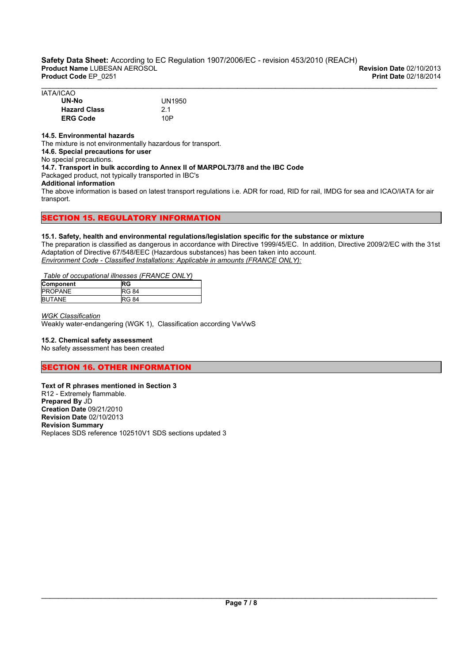| <b>IATA/ICAO</b>    |        |  |  |
|---------------------|--------|--|--|
| UN-No               | UN1950 |  |  |
| <b>Hazard Class</b> | 2.1    |  |  |
| <b>ERG Code</b>     | 10P    |  |  |

## 14.5. Environmental hazards

The mixture is not environmentally hazardous for transport.

14.6. Special precautions for user

No special precautions. 14.7. Transport in bulk according to Annex II of MARPOL73/78 and the IBC Code

Packaged product, not typically transported in IBC's

Additional information

The above information is based on latest transport regulations i.e. ADR for road, RID for rail, IMDG for sea and ICAO/IATA for air transport.

## SECTION 15. REGULATORY INFORMATION Ξ

## 15.1. Safety, health and environmental regulations/legislation specific for the substance or mixture

The preparation is classified as dangerous in accordance with Directive 1999/45/EC. In addition, Directive 2009/2/EC with the 31st Adaptation of Directive 67/548/EEC (Hazardous substances) has been taken into account. Environment Code - Classified Installations: Applicable in amounts (FRANCE ONLY):

# Table of occupational illnesses (FRANCE ONLY)

| Component      | RG           |
|----------------|--------------|
| <b>PROPANE</b> | <b>RG 84</b> |
| <b>BUTANE</b>  | <b>RG 84</b> |

WGK Classification

Weakly water-endangering (WGK 1), Classification according VwVwS

# 15.2. Chemical safety assessment

No safety assessment has been created

## SECTION 16. OTHER INFORMATION Ξ

# Text of R phrases mentioned in Section 3

R12 - Extremely flammable. Prepared By JD Creation Date 09/21/2010 Revision Date 02/10/2013 Revision Summary Replaces SDS reference 102510V1 SDS sections updated 3